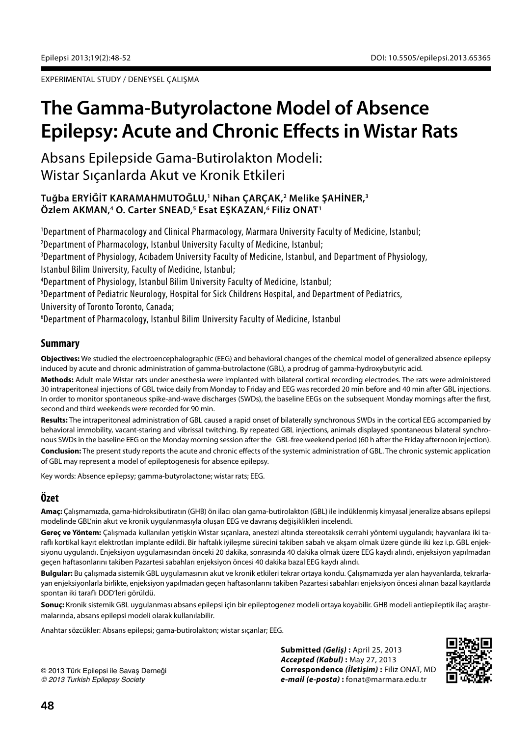EXPERIMENTAL STUDY / DENEYSEL ÇALIŞMA

# **The Gamma-Butyrolactone Model of Absence Epilepsy: Acute and Chronic Effects in Wistar Rats**

Absans Epilepside Gama-Butirolakton Modeli: Wistar Sıçanlarda Akut ve Kronik Etkileri

# **Tuğba ERYİĞİT KARAMAHMUTOĞLU,1 Nihan ÇARÇAK,2 Melike ŞAHİNER,3 Özlem AKMAN,4 O. Carter SNEAD,5 Esat EŞKAZAN,6 Filiz ONAT1**

 Department of Pharmacology and Clinical Pharmacology, Marmara University Faculty of Medicine, Istanbul; Department of Pharmacology, Istanbul University Faculty of Medicine, Istanbul;  $^3$ Department of Physiology, Acıbadem University Faculty of Medicine, Istanbul, and Department of Physiology, Istanbul Bilim University, Faculty of Medicine, Istanbul; Department of Physiology, Istanbul Bilim University Faculty of Medicine, Istanbul; Department of Pediatric Neurology, Hospital for Sick Childrens Hospital, and Department of Pediatrics, University of Toronto Toronto, Canada; Department of Pharmacology, Istanbul Bilim University Faculty of Medicine, Istanbul

# **Summary**

**Objectives:** We studied the electroencephalographic (EEG) and behavioral changes of the chemical model of generalized absence epilepsy induced by acute and chronic administration of gamma-butrolactone (GBL), a prodrug of gamma-hydroxybutyric acid.

**Methods:** Adult male Wistar rats under anesthesia were implanted with bilateral cortical recording electrodes. The rats were administered 30 intraperitoneal injections of GBL twice daily from Monday to Friday and EEG was recorded 20 min before and 40 min after GBL injections. In order to monitor spontaneous spike-and-wave discharges (SWDs), the baseline EEGs on the subsequent Monday mornings after the first, second and third weekends were recorded for 90 min.

**Results:** The intraperitoneal administration of GBL caused a rapid onset of bilaterally synchronous SWDs in the cortical EEG accompanied by behavioral immobility, vacant-staring and vibrissal twitching. By repeated GBL injections, animals displayed spontaneous bilateral synchronous SWDs in the baseline EEG on the Monday morning session after the GBL-free weekend period (60 h after the Friday afternoon injection).

**Conclusion:** The present study reports the acute and chronic effects of the systemic administration of GBL. The chronic systemic application of GBL may represent a model of epileptogenesis for absence epilepsy.

Key words: Absence epilepsy; gamma-butyrolactone; wistar rats; EEG.

# **Özet**

**Amaç:** Çalışmamızda, gama-hidroksibutiratın (GHB) ön ilacı olan gama-butirolakton (GBL) ile indüklenmiş kimyasal jeneralize absans epilepsi modelinde GBL'nin akut ve kronik uygulanmasıyla oluşan EEG ve davranış değişiklikleri incelendi.

**Gereç ve Yöntem:** Çalışmada kullanılan yetişkin Wistar sıçanlara, anestezi altında stereotaksik cerrahi yöntemi uygulandı; hayvanlara iki taraflı kortikal kayıt elektrotları implante edildi. Bir haftalık iyileşme sürecini takiben sabah ve akşam olmak üzere günde iki kez i.p. GBL enjeksiyonu uygulandı. Enjeksiyon uygulamasından önceki 20 dakika, sonrasında 40 dakika olmak üzere EEG kaydı alındı, enjeksiyon yapılmadan geçen haftasonlarını takiben Pazartesi sabahları enjeksiyon öncesi 40 dakika bazal EEG kaydı alındı.

**Bulgular:** Bu çalışmada sistemik GBL uygulamasının akut ve kronik etkileri tekrar ortaya kondu. Çalışmamızda yer alan hayvanlarda, tekrarlayan enjeksiyonlarla birlikte, enjeksiyon yapılmadan geçen haftasonlarını takiben Pazartesi sabahları enjeksiyon öncesi alınan bazal kayıtlarda spontan iki taraflı DDD'leri görüldü.

**Sonuç:** Kronik sistemik GBL uygulanması absans epilepsi için bir epileptogenez modeli ortaya koyabilir. GHB modeli antiepileptik ilaç araştırmalarında, absans epilepsi modeli olarak kullanılabilir.

Anahtar sözcükler: Absans epilepsi; gama-butirolakton; wistar sıçanlar; EEG.

© 2013 Türk Epilepsi ile Savaş Derneği *© 2013 Turkish Epilepsy Society*

**Submitted** *(Geliş)* **:** April 25, 2013 *Accepted (Kabul)* **:** May 27, 2013 **Correspondence** *(İletişim)* **:** Filiz ONAT, MD *e-mail (e-posta)* **:** fonat@marmara.edu.tr

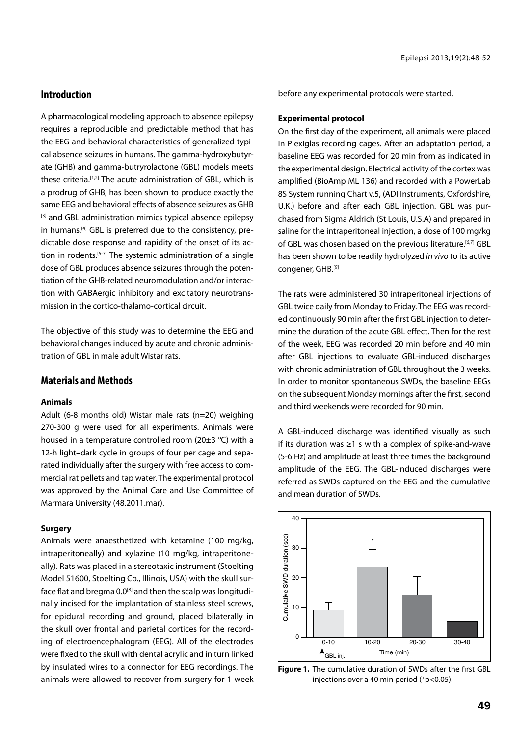## **Introduction**

A pharmacological modeling approach to absence epilepsy requires a reproducible and predictable method that has the EEG and behavioral characteristics of generalized typical absence seizures in humans. The gamma-hydroxybutyrate (GHB) and gamma-butryrolactone (GBL) models meets these criteria.<sup>[1,2]</sup> The acute administration of GBL, which is a prodrug of GHB, has been shown to produce exactly the same EEG and behavioral effects of absence seizures as GHB [3] and GBL administration mimics typical absence epilepsy in humans.<sup>[4]</sup> GBL is preferred due to the consistency, predictable dose response and rapidity of the onset of its action in rodents.<sup>[5-7]</sup> The systemic administration of a single dose of GBL produces absence seizures through the potentiation of the GHB-related neuromodulation and/or interaction with GABAergic inhibitory and excitatory neurotransmission in the cortico-thalamo-cortical circuit.

The objective of this study was to determine the EEG and behavioral changes induced by acute and chronic administration of GBL in male adult Wistar rats.

## **Materials and Methods**

#### **Animals**

Adult (6-8 months old) Wistar male rats (n=20) weighing 270-300 g were used for all experiments. Animals were housed in a temperature controlled room (20±3 ºC) with a 12-h light–dark cycle in groups of four per cage and separated individually after the surgery with free access to commercial rat pellets and tap water. The experimental protocol was approved by the Animal Care and Use Committee of Marmara University (48.2011.mar).

#### **Surgery**

Animals were anaesthetized with ketamine (100 mg/kg, intraperitoneally) and xylazine (10 mg/kg, intraperitoneally). Rats was placed in a stereotaxic instrument (Stoelting Model 51600, Stoelting Co., Illinois, USA) with the skull surface flat and bregma  $0.0^{[8]}$  and then the scalp was longitudinally incised for the implantation of stainless steel screws, for epidural recording and ground, placed bilaterally in the skull over frontal and parietal cortices for the recording of electroencephalogram (EEG). All of the electrodes were fixed to the skull with dental acrylic and in turn linked by insulated wires to a connector for EEG recordings. The animals were allowed to recover from surgery for 1 week before any experimental protocols were started.

#### **Experimental protocol**

On the first day of the experiment, all animals were placed in Plexiglas recording cages. After an adaptation period, a baseline EEG was recorded for 20 min from as indicated in the experimental design. Electrical activity of the cortex was amplified (BioAmp ML 136) and recorded with a PowerLab 8S System running Chart v.5, (ADI Instruments, Oxfordshire, U.K.) before and after each GBL injection. GBL was purchased from Sigma Aldrich (St Louis, U.S.A) and prepared in saline for the intraperitoneal injection, a dose of 100 mg/kg of GBL was chosen based on the previous literature.<sup>[6,7]</sup> GBL has been shown to be readily hydrolyzed *in vivo* to its active congener, GHB.[9]

The rats were administered 30 intraperitoneal injections of GBL twice daily from Monday to Friday. The EEG was recorded continuously 90 min after the first GBL injection to determine the duration of the acute GBL effect. Then for the rest of the week, EEG was recorded 20 min before and 40 min after GBL injections to evaluate GBL-induced discharges with chronic administration of GBL throughout the 3 weeks. In order to monitor spontaneous SWDs, the baseline EEGs on the subsequent Monday mornings after the first, second and third weekends were recorded for 90 min.

A GBL-induced discharge was identified visually as such if its duration was ≥1 s with a complex of spike-and-wave (5-6 Hz) and amplitude at least three times the background amplitude of the EEG. The GBL-induced discharges were referred as SWDs captured on the EEG and the cumulative and mean duration of SWDs.



**Figure 1.** The cumulative duration of SWDs after the first GBL injections over a 40 min period (\*p<0.05).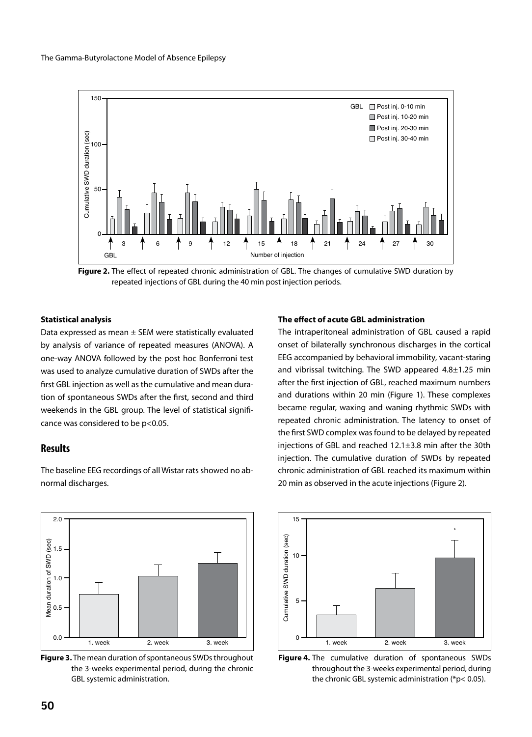

**Figure 2.** The effect of repeated chronic administration of GBL. The changes of cumulative SWD duration by repeated injections of GBL during the 40 min post injection periods.

#### **Statistical analysis**

Data expressed as mean ± SEM were statistically evaluated by analysis of variance of repeated measures (ANOVA). A one-way ANOVA followed by the post hoc Bonferroni test was used to analyze cumulative duration of SWDs after the first GBL injection as well as the cumulative and mean duration of spontaneous SWDs after the first, second and third weekends in the GBL group. The level of statistical significance was considered to be p<0.05.

#### **Results**



The baseline EEG recordings of all Wistar rats showed no abnormal discharges.

#### **The effect of acute GBL administration**

The intraperitoneal administration of GBL caused a rapid onset of bilaterally synchronous discharges in the cortical EEG accompanied by behavioral immobility, vacant-staring and vibrissal twitching. The SWD appeared 4.8±1.25 min after the first injection of GBL, reached maximum numbers and durations within 20 min (Figure 1). These complexes became regular, waxing and waning rhythmic SWDs with repeated chronic administration. The latency to onset of the first SWD complex was found to be delayed by repeated injections of GBL and reached 12.1±3.8 min after the 30th injection. The cumulative duration of SWDs by repeated chronic administration of GBL reached its maximum within 20 min as observed in the acute injections (Figure 2).



**Figure 4.** The cumulative duration of spontaneous SWDs throughout the 3-weeks experimental period, during the chronic GBL systemic administration (\*p< 0.05).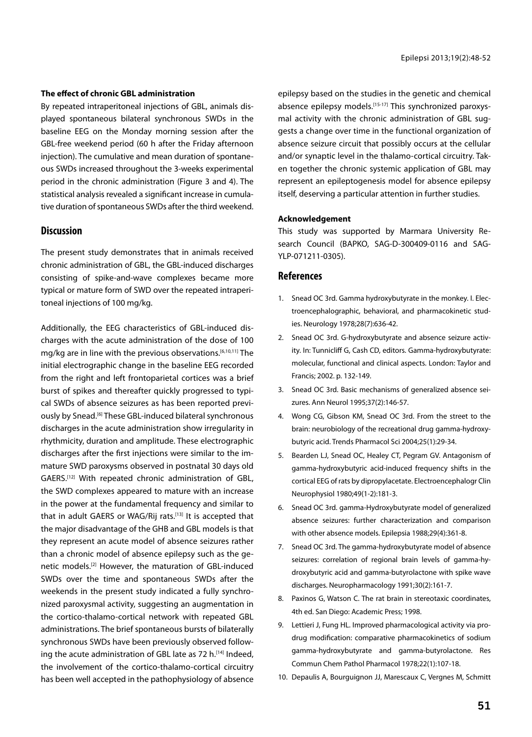#### **The effect of chronic GBL administration**

By repeated intraperitoneal injections of GBL, animals displayed spontaneous bilateral synchronous SWDs in the baseline EEG on the Monday morning session after the GBL-free weekend period (60 h after the Friday afternoon injection). The cumulative and mean duration of spontaneous SWDs increased throughout the 3-weeks experimental period in the chronic administration (Figure 3 and 4). The statistical analysis revealed a significant increase in cumulative duration of spontaneous SWDs after the third weekend.

### **Discussion**

The present study demonstrates that in animals received chronic administration of GBL, the GBL-induced discharges consisting of spike-and-wave complexes became more typical or mature form of SWD over the repeated intraperitoneal injections of 100 mg/kg.

Additionally, the EEG characteristics of GBL-induced discharges with the acute administration of the dose of 100 mg/kg are in line with the previous observations.[6,10,11] The initial electrographic change in the baseline EEG recorded from the right and left frontoparietal cortices was a brief burst of spikes and thereafter quickly progressed to typical SWDs of absence seizures as has been reported previously by Snead.[6] These GBL-induced bilateral synchronous discharges in the acute administration show irregularity in rhythmicity, duration and amplitude. These electrographic discharges after the first injections were similar to the immature SWD paroxysms observed in postnatal 30 days old GAERS.[12] With repeated chronic administration of GBL, the SWD complexes appeared to mature with an increase in the power at the fundamental frequency and similar to that in adult GAERS or WAG/Rij rats.<sup>[13]</sup> It is accepted that the major disadvantage of the GHB and GBL models is that they represent an acute model of absence seizures rather than a chronic model of absence epilepsy such as the genetic models.[2] However, the maturation of GBL-induced SWDs over the time and spontaneous SWDs after the weekends in the present study indicated a fully synchronized paroxysmal activity, suggesting an augmentation in the cortico-thalamo-cortical network with repeated GBL administrations. The brief spontaneous bursts of bilaterally synchronous SWDs have been previously observed following the acute administration of GBL late as 72 h.<sup>[14]</sup> Indeed, the involvement of the cortico-thalamo-cortical circuitry has been well accepted in the pathophysiology of absence

epilepsy based on the studies in the genetic and chemical absence epilepsy models.<sup>[15-17]</sup> This synchronized paroxysmal activity with the chronic administration of GBL suggests a change over time in the functional organization of absence seizure circuit that possibly occurs at the cellular and/or synaptic level in the thalamo-cortical circuitry. Taken together the chronic systemic application of GBL may represent an epileptogenesis model for absence epilepsy itself, deserving a particular attention in further studies.

#### **Acknowledgement**

This study was supported by Marmara University Research Council (BAPKO, SAG-D-300409-0116 and SAG-YLP-071211-0305).

#### **References**

- 1. Snead OC 3rd. Gamma hydroxybutyrate in the monkey. I. Electroencephalographic, behavioral, and pharmacokinetic studies. Neurology 1978;28(7):636-42.
- 2. Snead OC 3rd. G-hydroxybutyrate and absence seizure activity. In: Tunnicliff G, Cash CD, editors. Gamma-hydroxybutyrate: molecular, functional and clinical aspects. London: Taylor and Francis; 2002. p. 132-149.
- 3. Snead OC 3rd. Basic mechanisms of generalized absence seizures. Ann Neurol 1995;37(2):146-57.
- 4. Wong CG, Gibson KM, Snead OC 3rd. From the street to the brain: neurobiology of the recreational drug gamma-hydroxybutyric acid. Trends Pharmacol Sci 2004;25(1):29-34.
- 5. Bearden LJ, Snead OC, Healey CT, Pegram GV. Antagonism of gamma-hydroxybutyric acid-induced frequency shifts in the cortical EEG of rats by dipropylacetate. Electroencephalogr Clin Neurophysiol 1980;49(1-2):181-3.
- 6. Snead OC 3rd. gamma-Hydroxybutyrate model of generalized absence seizures: further characterization and comparison with other absence models. Epilepsia 1988;29(4):361-8.
- 7. Snead OC 3rd. The gamma-hydroxybutyrate model of absence seizures: correlation of regional brain levels of gamma-hydroxybutyric acid and gamma-butyrolactone with spike wave discharges. Neuropharmacology 1991;30(2):161-7.
- 8. Paxinos G, Watson C. The rat brain in stereotaxic coordinates, 4th ed. San Diego: Academic Press; 1998.
- 9. Lettieri J, Fung HL. Improved pharmacological activity via prodrug modification: comparative pharmacokinetics of sodium gamma-hydroxybutyrate and gamma-butyrolactone. Res Commun Chem Pathol Pharmacol 1978;22(1):107-18.
- 10. Depaulis A, Bourguignon JJ, Marescaux C, Vergnes M, Schmitt